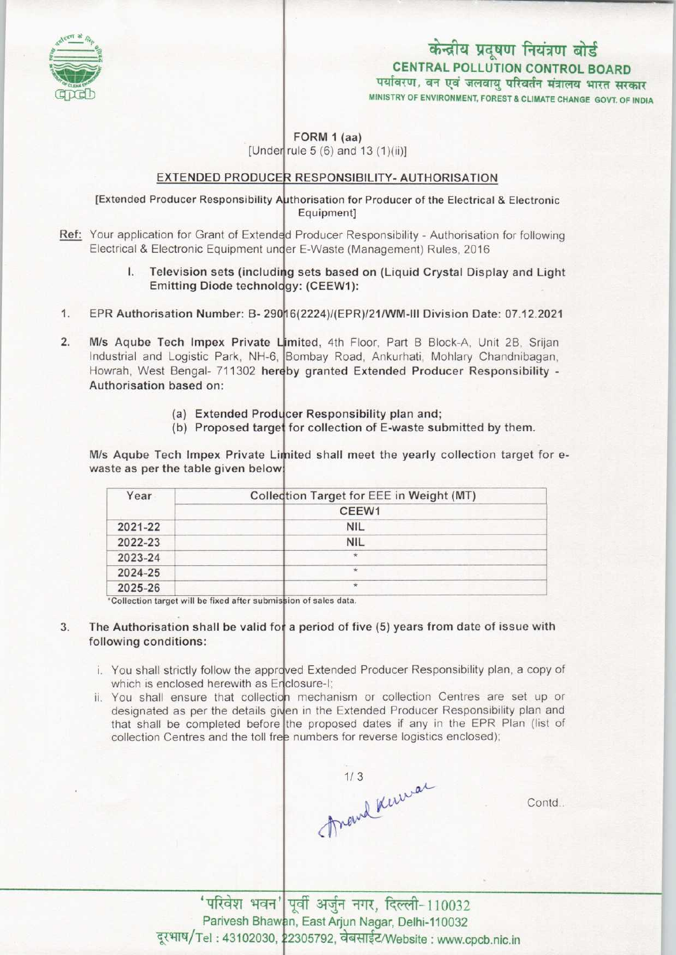

# केन्द्रीय प्रदूषण नियंत्रण बोर्ड

CENTRAL POLLUTION CONTROL BOARD<br>पर्यावरण, वन एवं जलवायु परिवर्तन मंत्रालय भारत सरकार

MINISTRY OF ENVIRONMENT, FOREST S CLIMATE CHANGE GOVT. OF INDIA

### FORM 1 (aa)

[Under rule  $5(6)$  and  $13(1)(ii)$ ]

#### EXTENDED PRODUCER RESPONSIBILITY- AUTHORISATION

#### [Extended Producer Responsibility Authorisation for Producer of the Electrical & Electronic Equipment]

- Ref: Your application for Grant of Extended Producer Responsibility Authorisation for following Electrical & Electronic Equipment under E-Waste (Management) Rules, 2016
	- I. Television sets (including sets based on (Liquid Crystal Display and Light Emitting Diode technology: (CEEW1):
- Emitting Diode technology: (CEEW1):<br>1. EPR Authorisation Number: B- 29016(2224)/(EPR)/21/WM-III Division Date: 07.12.2021
- 1. EPR Authorisation Number: B- 29016(2224)/(EPR)/21/WM-III Division Date: 07.12.202<br>2. M/s Aqube Tech Impex Private Limited, 4th Floor, Part B Block-A, Unit 2B, Srijan<br>Industrial and Logistic Park, NH-6. Bombay Road, Anku Industrial and Logistic Park, NH-6, Bombay Road, Ankurhati, Mohlary Chandnibagan Howrah, West Bengal- 711302 hereby granted Extended Producer Responsibility -Authorisation based on:
	- (a) Extended Producer Responsibility plan and;
	- (a) Extended Producer Responsibility plan and,<br>(b) Proposed target for collection of E-waste submitted by them.

M/s Aqube Tech Impex Private Limited shall meet the yearly collection target for ewaste as per the table given below!

| Year    | Collection Target for EEE in Weight (MT) |
|---------|------------------------------------------|
|         | CEEW1                                    |
| 2021-22 | <b>NIL</b>                               |
| 2022-23 | <b>NIL</b>                               |
| 2023-24 | $\star$                                  |
| 2024-25 | $\star$                                  |
| 2025-26 | $\star$                                  |

\*Collection target will be fixed after submission of sales data.

#### 3. The Authorisation shall be valid for a period of five (5) years from date of issue with following conditions:

- You shall strictly follow the approved Extended Producer Responsibility plan, a copy of which is enclosed herewith as Enclosure-I
- You shall ensure that collection mechanism or collection Centres are set up or designated as per the details given in the Extended Producer Responsibility plan and that shall be completed before the proposed dates if any in the EPR Plan (list of collection Centres and the toll free numbers for reverse logistics enclosed)

1/3 Remar

Contd..

'परिवेश भवन' पूर्वी अर्जुन नगर, दिल्ली-110032 Parivesh Bhawan, East Arjun Nagar, Delhi-110032 . Tel: 43102030, 22305792, वेबसाईट/Website: www.cpcb.nic.in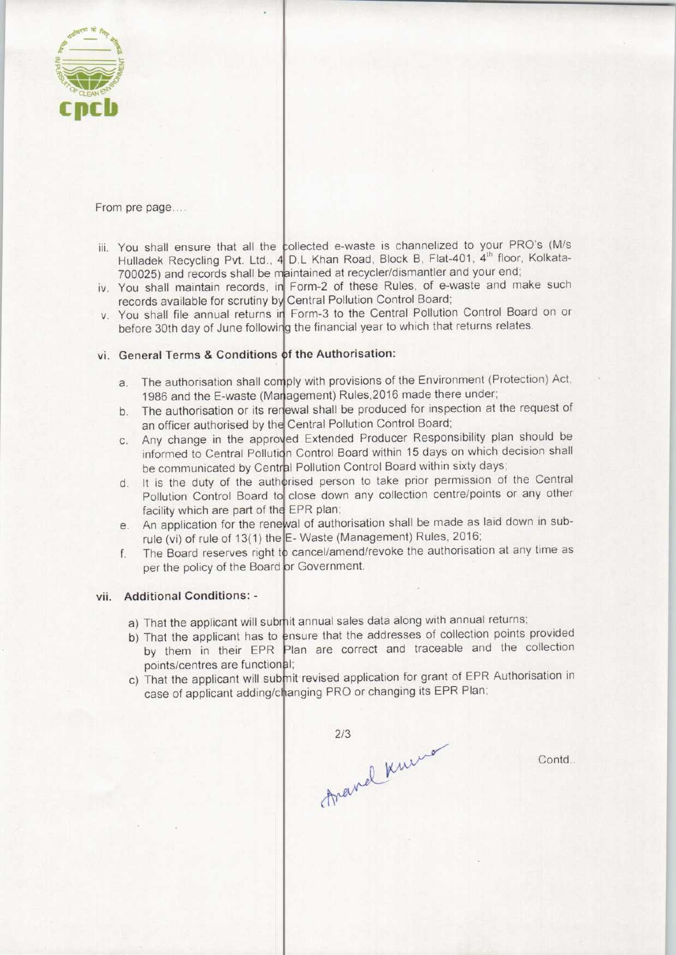

From pre page....

- iii. You shall ensure that all the collected e-waste is channelized to your PRO's (M/s Hulladek Recycling Pvt. Ltd., 4 D.L Khan Road, Block B, Flat-401, 4<sup>th</sup> floor, Kolkata-700025) and records shall be maintained at recycler/dismantler and your end
- iv. You shall maintain records, in Form-2 of these Rules, of e-waste and make such records available for scrutiny by Central Pollution Control Board
- v. You shall file annual returns in Form-3 to the Central Pollution Control Board on or before 30th day of June following the financial year to which that returns relates.

## vi. General Terms & Conditions of the Authorisation:

- a. The authorisation shall comply with provisions of the Environment (Protection) Act, 1986 and the E-waste (Maragement) Rules, 2016 made there under
- 1986 and the E-waste (Management) Rules, 2016 made there under;<br>b. The authorisation or its renewal shall be produced for inspection at the request of an officer authorised by the Central Pollution Control Board
- an officer authorised by the Central Pollution Control Board;<br>c. Any change in the approved Extended Producer Responsibility plan should be<br>c. Any change in the approved Extended Producer Responsibility plan should be informed to Central Pollution Control Board within 15 days on which decision shall be communicated by Central Pollution Control Board within sixty days
- be communicated by Central Pollution Control Board within sixty days;<br>
d. It is the duty of the authorised person to take prior permission of the Central<br>
Deviciting Central Board to algoe down any collection centre/points Pollution Control Board to close down any collection centre/points or any other facility which are part of the EPR plan;
- facility which are part of the EPR plan;<br>e. An application for the renewal of authorisation shall be made as laid down in sub-<br> $\frac{1}{2}$  Meste (Managament) Bulgs, 2016; rule (vi) of rule of 13(1) the E-Waste (Management) Rules, 2016
- F. The Board reserves right to cancel/amend/revoke the authorisation at any time as<br>f. The Board reserves right to cancel/amend/revoke the authorisation at any time as per the policy of the Board or Government.

#### vii. Additional Conditions: -

- a) That the applicant will submit annual sales data along with annual returns;
- b) That the applicant has to ensure that the addresses of collection points provided That the applicant has to ensure that the addresses of collection points provided<br>by them in their EPR Plan are correct and traceable and the collection points/centres are functional;
- c) That the applicant will submit revised application for grant of EPR Authorisation in case of applicant adding/changing PRO or changing its EPR Plan;

2/3<br>Anaviel Kurne

Contd...